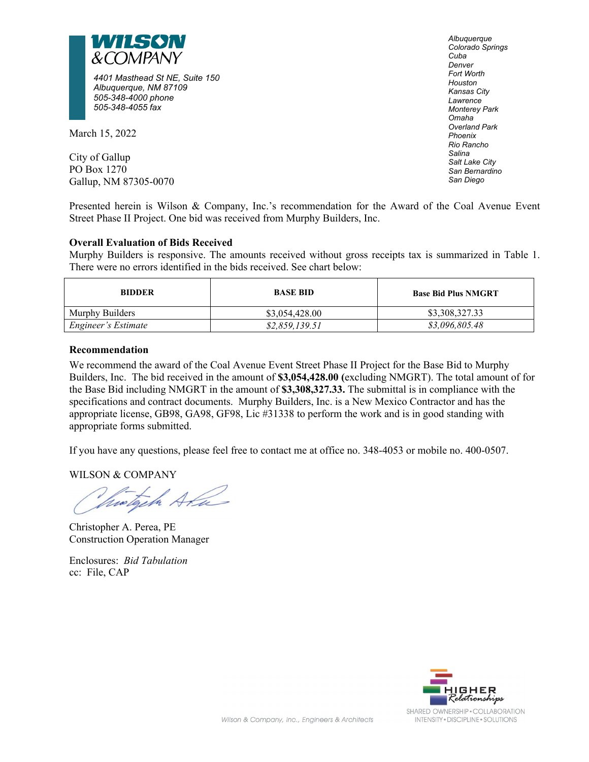

*4401 Masthead St NE, Suite 150 Albuquerque, NM 87109 505-348-4000 phone 505-348-4055 fax*

March 15, 2022

City of Gallup PO Box 1270 Gallup, NM 87305-0070 *Albuquerque Colorado Springs Cuba Denver Fort Worth Houston Kansas City Lawrence Monterey Park Omaha Overland Park Phoenix Rio Rancho Salina Salt Lake City San Bernardino San Diego*

Presented herein is Wilson & Company, Inc.'s recommendation for the Award of the Coal Avenue Event Street Phase II Project. One bid was received from Murphy Builders, Inc.

# **Overall Evaluation of Bids Received**

Murphy Builders is responsive. The amounts received without gross receipts tax is summarized in Table 1. There were no errors identified in the bids received. See chart below:

| <b>BIDDER</b>       | <b>BASE BID</b> | <b>Base Bid Plus NMGRT</b> |
|---------------------|-----------------|----------------------------|
| Murphy Builders     | \$3,054,428.00  | \$3,308,327.33             |
| Engineer's Estimate | \$2,859,139.51  | \$3,096,805.48             |

## **Recommendation**

We recommend the award of the Coal Avenue Event Street Phase II Project for the Base Bid to Murphy Builders, Inc. The bid received in the amount of **\$3,054,428.00 (**excluding NMGRT). The total amount of for the Base Bid including NMGRT in the amount of **\$3,308,327.33.** The submittal is in compliance with the specifications and contract documents. Murphy Builders, Inc. is a New Mexico Contractor and has the appropriate license, GB98, GA98, GF98, Lic #31338 to perform the work and is in good standing with appropriate forms submitted.

If you have any questions, please feel free to contact me at office no. 348-4053 or mobile no. 400-0507.

WILSON & COMPANY

histoch Ata

Christopher A. Perea, PE Construction Operation Manager

Enclosures: *Bid Tabulation* cc: File, CAP

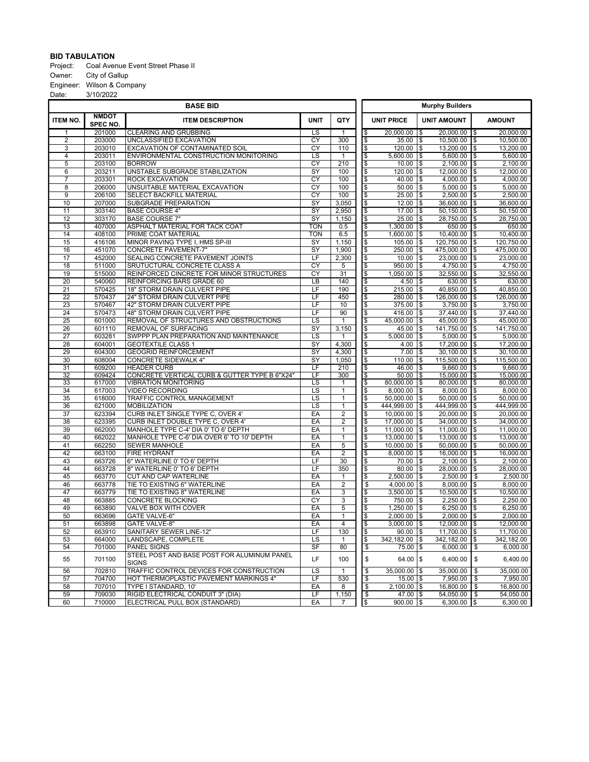### **BID TABULATION**

Project: Coal Avenue Event Street Phase II Owner: City of Gallup Engineer: Wilson & Company<br>Date: 3/10/2022 3/10/2022

|                       |                          | <b>BASE BID</b>                                                        |                                |                                  |                          |                                    | <b>Murphy Builders</b>                    |                        |  |  |  |  |
|-----------------------|--------------------------|------------------------------------------------------------------------|--------------------------------|----------------------------------|--------------------------|------------------------------------|-------------------------------------------|------------------------|--|--|--|--|
| <b>ITEM NO.</b>       | <b>NMDOT</b><br>SPEC NO. | <b>ITEM DESCRIPTION</b>                                                | <b>UNIT</b>                    | QTY                              |                          | <b>UNIT PRICE</b>                  | <b>UNIT AMOUNT</b>                        | <b>AMOUNT</b>          |  |  |  |  |
| 1                     | 201000                   | <b>CLEARING AND GRUBBING</b>                                           | τs                             | $\mathbf{1}$                     | \$                       | 20,000.00                          | $20,000.00$   \$<br>۱\$                   | 20.000.00              |  |  |  |  |
| 2                     | 203000                   | UNCLASSIFIED EXCAVATION                                                | $\overline{CY}$                | 300                              | $\overline{\$}$          | $35.00$ \\$                        | $10,500.00$ \\$                           | 10,500.00              |  |  |  |  |
| $\overline{3}$        | 203010                   | EXCAVATION OF CONTAMINATED SOIL                                        | CY                             | 110                              | \$                       | $120.00$ \\$                       | $13,200.00$ \\$                           | 13,200.00              |  |  |  |  |
| 4                     | 203011                   | ENVIRONMENTAL CONSTRUCTION MONITORING                                  | LS                             | $\mathbf{1}$                     | \$                       | $5,600.00$ \\$                     | $5,600.00$ \\$                            | 5,600.00               |  |  |  |  |
| $\overline{5}$        | 203100                   | <b>BORROW</b>                                                          | CY                             | 210                              | \$                       | $10.00$   \$                       | $2,100.00$ \\$                            | 2,100.00               |  |  |  |  |
| 6                     | 203211                   | UNSTABLE SUBGRADE STABILIZATION                                        | $\overline{\text{SY}}$         | 100                              | \$                       | $120.00$ \\$                       | $12,000.00$ \\$                           | 12,000.00              |  |  |  |  |
| $\overline{7}$        | 203301                   | <b>ROCK EXCAVATION</b>                                                 | CY                             | 100                              | \$                       | $40.00$   \$                       | $4,000.00$ \\$                            | 4,000.00               |  |  |  |  |
| 8                     | 206000                   | UNSUITABLE MATERIAL EXCAVATION                                         | CY                             | 100                              | \$                       | $50.00$ \\$                        | $5,000.00$ \\$                            | 5,000.00               |  |  |  |  |
| $\overline{9}$        | 206100                   | SELECT BACKFILL MATERIAL                                               | CY                             | 100                              | $\overline{\mathcal{E}}$ | $25.00$   \$                       | $2,500.00$ \\$                            | 2,500.00               |  |  |  |  |
| 10                    | 207000                   | <b>SUBGRADE PREPARATION</b>                                            | $\overline{\mathsf{SY}}$       | 3,050                            | $\overline{\$}$          | $12.00$ \\$                        | $36,600.00$ \\$                           | 36,600.00              |  |  |  |  |
| 11                    | 303140                   | <b>BASE COURSE 4"</b>                                                  | SY<br>$\overline{\mathsf{SY}}$ | 2,950                            | \$                       | 17.00                              | $50.150.00$ S<br>1\$                      | 50,150.00              |  |  |  |  |
| 12<br>13              | 303170<br>407000         | <b>BASE COURSE 7"</b><br>ASPHALT MATERIAL FOR TACK COAT                | <b>TON</b>                     | 1,150<br>0.5                     | \$<br>\$                 | $25.00$ \\$<br>$1,300.00$   \$     | 28,750.00   \$<br>650.00  \$              | 28,750.00<br>650.00    |  |  |  |  |
| 14                    | 408100                   | PRIME COAT MATERIAL                                                    | <b>TON</b>                     | 6.5                              | $\overline{\$}$          | $1,600.00$ \\$                     | $10,400.00$ \\$                           | 10,400.00              |  |  |  |  |
| $\overline{15}$       | 416106                   | MINOR PAVING TYPE I, HMS SP-III                                        | $\overline{SY}$                | 1,150                            | $\overline{\mathcal{E}}$ | $105.00$   \$                      | $120,750.00$ \\$                          | 120,750.00             |  |  |  |  |
| 16                    | 451070                   | <b>CONCRETE PAVEMENT-7"</b>                                            | $\overline{\mathsf{SY}}$       | 1,900                            | \$                       | $250.00$ \\$                       | 475,000.00   \$                           | 475,000.00             |  |  |  |  |
| $\overline{17}$       | 452000                   | SEALING CONCRETE PAVEMENT JOINTS                                       | LF                             | 2,300                            | $\overline{\mathcal{S}}$ | $10.00$   \$                       | $23,000.00$ \\$                           | 23,000.00              |  |  |  |  |
| $\overline{18}$       | 511000                   | SRUTUCTURAL CONCRETE CLASS A                                           | $\overline{CY}$                | 5                                | $\overline{\$}$          | 950.00                             | $4,750.00$ \\$<br>1\$                     | 4,750.00               |  |  |  |  |
| $\overline{19}$       | 515000                   | REINFORCED CINCRETE FOR MINOR STRUCTURES                               | CY                             | 31                               | $\overline{\mathcal{S}}$ | $1,050.00$ \\$                     | $32,550.00$ \\$                           | 32,550.00              |  |  |  |  |
| 20                    | 540060                   | REINFORCING BARS GRADE 60                                              | LB                             | 140                              | \$                       | 4.50 $\frac{1}{9}$                 | $630.00$ \\$                              | 630.00                 |  |  |  |  |
| $\overline{21}$       | 570425                   | 18" STORM DRAIN CULVERT PIPE                                           | LF                             | 190                              | \$                       | $215.00$   \$                      | $40,850.00$ \\$                           | 40,850.00              |  |  |  |  |
| $\overline{22}$       | 570437                   | 24" STORM DRAIN CULVERT PIPE                                           | LF                             | 450                              | \$                       | $280.00$   \$                      | $126,000.00$ \\$                          | 126,000.00             |  |  |  |  |
| 23                    | 570467                   | 42" STORM DRAIN CULVERT PIPE                                           | LF                             | 10                               | \$                       | $375.00$ \\$                       | $3,750.00$ \\$                            | 3,750.00               |  |  |  |  |
| $\overline{24}$       | 570473                   | <b>48" STORM DRAIN CULVERT PIPE</b>                                    | LF                             | 90                               | \$                       | 416.00 $\vert$ \$                  | $37,440.00$ \\$                           | 37,440.00              |  |  |  |  |
| 25                    | 601000                   | REMOVAL OF STRUCTURES AND OBSTRUCTIONS                                 | LS                             | $\overline{1}$                   | \$                       | 45,000.00                          | 1\$<br>$45,000.00$ \\$                    | 45,000.00              |  |  |  |  |
| $\overline{26}$       | 601110                   | REMOVAL OF SURFACING                                                   | $\overline{\mathsf{SY}}$       | 3,150                            | $\overline{\$}$          | $45.00$ \\$                        | 141,750.00   \$                           | 141,750.00             |  |  |  |  |
| 27                    | 603281                   | SWPPP PLAN PREPARATION AND MAINTENANCE                                 | LS                             | 1                                | \$                       | $5,000.00$ \\$                     | $5,000.00$ \\$                            | 5,000.00               |  |  |  |  |
| 28                    | 604001                   | <b>GEOTEXTILE CLASS 1</b>                                              | SY                             | 4,300                            | \$                       | $4.00$ \\$                         | $17,200.00$ \\$                           | 17,200.00              |  |  |  |  |
| 29                    | 604300                   | <b>GEOGRID REINFORCEMENT</b>                                           | $\overline{\text{SY}}$         | 4,300                            | \$                       | $7.00$   \$                        | $30,100.00$   \$                          | 30,100.00              |  |  |  |  |
| $\overline{30}$       | 608004                   | <b>CONCRETE SIDEWALK 4"</b>                                            | $\overline{\mathsf{SY}}$       | 1,050                            | $\overline{\$}$          | $110.00$   \$                      | $115,500.00$ \\$                          | 115,500.00             |  |  |  |  |
| 31                    | 609200                   | <b>HEADER CURB</b>                                                     | LF                             | 210                              | \$                       | $46.00$ \\$                        | $9.660.00$ S                              | 9,660.00               |  |  |  |  |
| 32                    | 609424                   | CONCRETE VERTICAL CURB & GUTTER TYPE B 6"X24"                          | LF                             | 300                              | \$                       | $50.00$   \$                       | $15,000.00$   \$                          | 15,000.00              |  |  |  |  |
| 33                    | 617000                   | <b>VIBRATION MONITORING</b>                                            | LS                             | 1                                | \$                       | $80,000.00$ \\$                    | $80,000.00$ \\$                           | 80,000.00              |  |  |  |  |
| 34                    | 617003                   | <b>VIDEO RECORDING</b>                                                 | $\overline{\text{LS}}$         | $\mathbf{1}$                     | \$                       | $8,000.00$   \$                    | $8,000.00$   \$                           | 8,000.00               |  |  |  |  |
| 35                    | 618000                   | TRAFFIC CONTROL MANAGEMENT                                             | $\overline{LS}$                | $\mathbf{1}$                     | \$                       | $50,000.00$   \$                   | $50,000.00$   \$                          | 50,000.00              |  |  |  |  |
| $\overline{36}$       | 621000                   | <b>MOBILIZATION</b>                                                    | $\overline{LS}$                | $\mathbf{1}$                     | $\overline{\$}$          | 444,999.00 \$                      | 444,999.00 \$                             | 444,999.00             |  |  |  |  |
| $\overline{37}$<br>38 | 623394<br>623395         | CURB INLET SINGLE TYPE C, OVER 4'<br>CURB INLET DOUBLE TYPE C, OVER 4' | EA<br>EA                       | $\overline{2}$<br>$\overline{2}$ | \$                       | $10,000.00$ \\$<br>$17,000.00$ \\$ | $20,000.00$ \\$<br>$34,000.00$ $\sqrt{$}$ | 20,000.00<br>34,000.00 |  |  |  |  |
| 39                    | 662000                   | MANHOLE TYPE C-4' DIA 0' TO 6' DEPTH                                   | EA                             | $\mathbf{1}$                     | \$<br>$\overline{\$}$    | $11,000.00$ \\$                    | $11,000.00$ \\$                           | 11,000.00              |  |  |  |  |
| 40                    | 662022                   | MANHOLE TYPE C-6' DIA OVER 6' TO 10' DEPTH                             | EA                             | 1                                | \$                       | $13,000.00$ \\$                    | $13,000.00$ \\$                           | 13,000.00              |  |  |  |  |
| 41                    | 662250                   | <b>SEWER MANHOLE</b>                                                   | EA                             | 5                                | \$                       | $10,000.00$ \\$                    | $50,000.00$ \\$                           | 50,000.00              |  |  |  |  |
| 42                    | 663100                   | <b>FIRE HYDRANT</b>                                                    | EA                             | $\overline{2}$                   | \$                       | $8,000.00$   \$                    | $16,000.00$   \$                          | 16,000.00              |  |  |  |  |
| 43                    | 663726                   | 6" WATERLINE 0' TO 6' DEPTH                                            | LF                             | $\overline{30}$                  | $\overline{\$}$          | $70.00$ \\$                        | $2,100.00$ \\$                            | 2,100.00               |  |  |  |  |
| 44                    | 663728                   | 8" WATERLINE 0' TO 6' DEPTH                                            | LF                             | 350                              | $\overline{\$}$          | $80.00$ \\$                        | $28,000.00$ \\$                           | 28,000.00              |  |  |  |  |
| 45                    | 663770                   | CUT AND CAP WATERLINE                                                  | EA                             | $\mathbf{1}$                     | \$                       | $2,500.00$   \$                    | $2,500.00$ \\$                            | 2,500.00               |  |  |  |  |
| 46                    | 663778                   | TIE TO EXISTING 6" WATERLINE                                           | EA                             | $\overline{2}$                   | $\overline{\mathcal{S}}$ | $4,000.00$   \$                    | $8,000.00$   \$                           | 8,000.00               |  |  |  |  |
| 47                    | 663779                   | TIE TO EXISTING 8" WATERLINE                                           | EA                             | $\overline{3}$                   | $\overline{\$}$          | $3,500.00$ \\$                     | $10,500.00$ \\$                           | 10,500.00              |  |  |  |  |
| 48                    | 663885                   | <b>CONCRETE BLOCKING</b>                                               | CY                             | $\overline{3}$                   | \$                       | $750.00$ \\$                       | $2,250.00$ \$                             | 2,250.00               |  |  |  |  |
| 49                    | 663890                   | VALVE BOX WITH COVER                                                   | EA                             | 5                                | \$                       | $1,250.00$ \\$                     | $6,250.00$ \\$                            | 6,250.00               |  |  |  |  |
| $\overline{50}$       | 663696                   | <b>GATE VALVE-6'</b>                                                   | EA                             | $\mathbf{1}$                     | \$                       | $2,000.00$   \$                    | $2,000,00$ \\$                            | 2,000.00               |  |  |  |  |
| 51                    | 663898                   | <b>GATE VALVE-8"</b>                                                   | EA                             | $\overline{4}$                   | \$                       | $3,000.00$ \\$                     | $12,000.00$   \$                          | 12,000.00              |  |  |  |  |
| 52                    | 663910                   | SANITARY SEWER LINE-12"                                                | LF                             | 130                              | l\$                      | $90.00$ \$                         | $11,700.00$ \\$                           | 11,700.00              |  |  |  |  |
| 53                    | 664000                   | LANDSCAPE, COMPLETE                                                    | LS                             | $\mathbf{1}$                     | l\$                      | 342,182.00 \$                      | $342,182.00$ \\$                          | 342,182.00             |  |  |  |  |
| 54                    | 701000                   | <b>PANEL SIGNS</b>                                                     | SF                             | 80                               | \$                       | $75.00$ \\$                        | 6,000.00                                  | \$<br>6,000.00         |  |  |  |  |
| 55                    | 701100                   | STEEL POST AND BASE POST FOR ALUMINUM PANEL<br><b>SIGNS</b>            | LF                             | 100                              | \$                       | $64.00$ \\$                        | 6,400.00                                  | \$<br>6,400.00         |  |  |  |  |
| 56                    | 702810                   | TRAFFIC CONTROL DEVICES FOR CONSTRUCTION                               | LS                             | $\mathbf{1}$                     | \$                       | $35,000.00$   \$                   | 35,000.00                                 | 35,000.00<br>\$        |  |  |  |  |
| 57                    | 704700                   | HOT THERMOPLASTIC PAVEMENT MARKINGS 4"                                 | LF                             | 530                              | $\overline{\$}$          | $15.00$   \$                       | 7,950.00                                  | \$<br>7,950.00         |  |  |  |  |
| 58                    | 707010                   | TYPE I STANDARD, 10'                                                   | EA                             | 8                                | \$                       | $2,100.00$   \$                    | $16,800.00$ \$                            | 16,800.00              |  |  |  |  |
| 59                    | 709030                   | RIGID ELECTRICAL CONDUIT 3" (DIA)                                      | LF                             | 1,150                            | $\overline{\$}$          | $47.00$ \\$                        | $54,050.00$ \\$                           | 54,050.00              |  |  |  |  |
| 60                    | 710000                   | ELECTRICAL PULL BOX (STANDARD)                                         | EA                             | 7                                | \$                       | $900.00$ \\$                       | $6,300.00$ \\$                            | 6,300.00               |  |  |  |  |